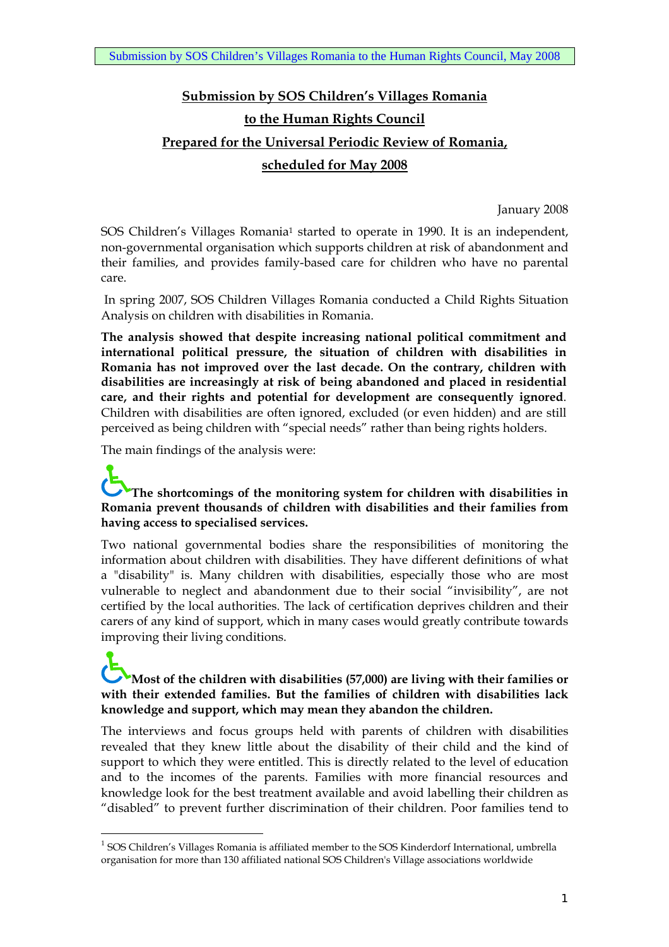# **Submission by SOS Children's Villages Romania to the Human Rights Council Prepared for the Universal Periodic Review of Romania, scheduled for May 2008**

January 2008

SOS Children's Villages Romania<sup>1</sup> started to operate in 1990. It is an independent, non-governmental organisation which supports children at risk of abandonment and their families, and provides family-based care for children who have no parental care.

 In spring 2007, SOS Children Villages Romania conducted a Child Rights Situation Analysis on children with disabilities in Romania.

**The analysis showed that despite increasing national political commitment and international political pressure, the situation of children with disabilities in Romania has not improved over the last decade. On the contrary, children with disabilities are increasingly at risk of being abandoned and placed in residential care, and their rights and potential for development are consequently ignored**. Children with disabilities are often ignored, excluded (or even hidden) and are still perceived as being children with "special needs" rather than being rights holders.

The main findings of the analysis were:

 $\overline{a}$ 

### **The shortcomings of the monitoring system for children with disabilities in Romania prevent thousands of children with disabilities and their families from having access to specialised services.**

Two national governmental bodies share the responsibilities of monitoring the information about children with disabilities. They have different definitions of what a "disability" is. Many children with disabilities, especially those who are most vulnerable to neglect and abandonment due to their social "invisibility", are not certified by the local authorities. The lack of certification deprives children and their carers of any kind of support, which in many cases would greatly contribute towards improving their living conditions.

### **Most of the children with disabilities (57,000) are living with their families or with their extended families. But the families of children with disabilities lack knowledge and support, which may mean they abandon the children.**

The interviews and focus groups held with parents of children with disabilities revealed that they knew little about the disability of their child and the kind of support to which they were entitled. This is directly related to the level of education and to the incomes of the parents. Families with more financial resources and knowledge look for the best treatment available and avoid labelling their children as "disabled" to prevent further discrimination of their children. Poor families tend to

<sup>&</sup>lt;sup>1</sup> SOS Children's Villages Romania is affiliated member to the SOS Kinderdorf International, umbrella organisation for more than 130 affiliated national SOS Children's Village associations worldwide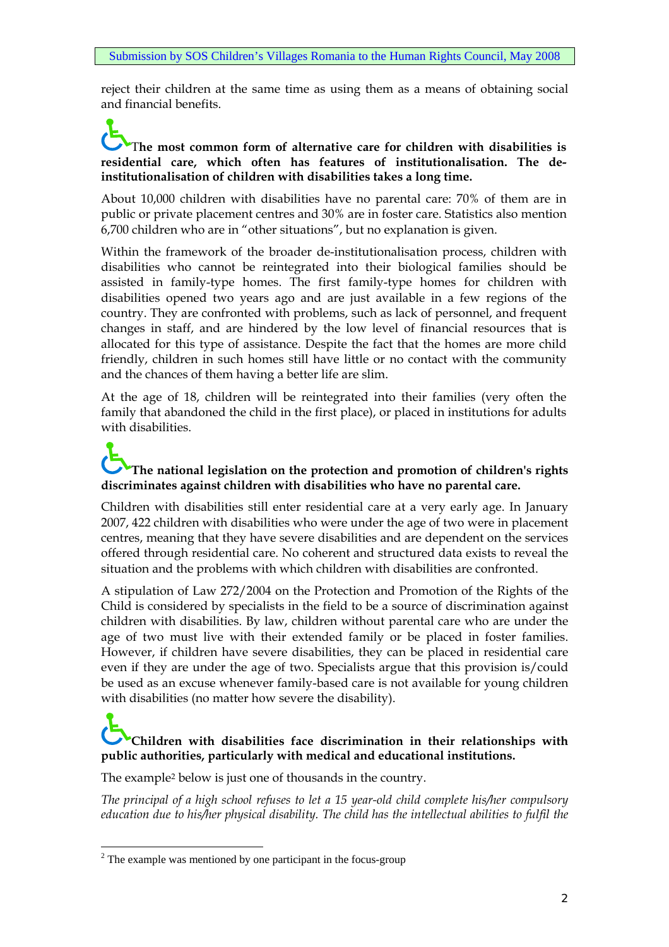reject their children at the same time as using them as a means of obtaining social and financial benefits.

### **The most common form of alternative care for children with disabilities is residential care, which often has features of institutionalisation. The deinstitutionalisation of children with disabilities takes a long time.**

About 10,000 children with disabilities have no parental care: 70% of them are in public or private placement centres and 30% are in foster care. Statistics also mention 6,700 children who are in "other situations", but no explanation is given.

Within the framework of the broader de-institutionalisation process, children with disabilities who cannot be reintegrated into their biological families should be assisted in family-type homes. The first family-type homes for children with disabilities opened two years ago and are just available in a few regions of the country. They are confronted with problems, such as lack of personnel, and frequent changes in staff, and are hindered by the low level of financial resources that is allocated for this type of assistance. Despite the fact that the homes are more child friendly, children in such homes still have little or no contact with the community and the chances of them having a better life are slim.

At the age of 18, children will be reintegrated into their families (very often the family that abandoned the child in the first place), or placed in institutions for adults with disabilities.

# **The national legislation on the protection and promotion of children's rights discriminates against children with disabilities who have no parental care.**

Children with disabilities still enter residential care at a very early age. In January 2007, 422 children with disabilities who were under the age of two were in placement centres, meaning that they have severe disabilities and are dependent on the services offered through residential care. No coherent and structured data exists to reveal the situation and the problems with which children with disabilities are confronted.

A stipulation of Law 272/2004 on the Protection and Promotion of the Rights of the Child is considered by specialists in the field to be a source of discrimination against children with disabilities. By law, children without parental care who are under the age of two must live with their extended family or be placed in foster families. However, if children have severe disabilities, they can be placed in residential care even if they are under the age of two. Specialists argue that this provision is/could be used as an excuse whenever family-based care is not available for young children with disabilities (no matter how severe the disability).

# **Children with disabilities face discrimination in their relationships with public authorities, particularly with medical and educational institutions.**

The example2 below is just one of thousands in the country.

*The principal of a high school refuses to let a 15 year-old child complete his/her compulsory education due to his/her physical disability. The child has the intellectual abilities to fulfil the* 

<sup>&</sup>lt;sup>2</sup> The example was mentioned by one participant in the focus-group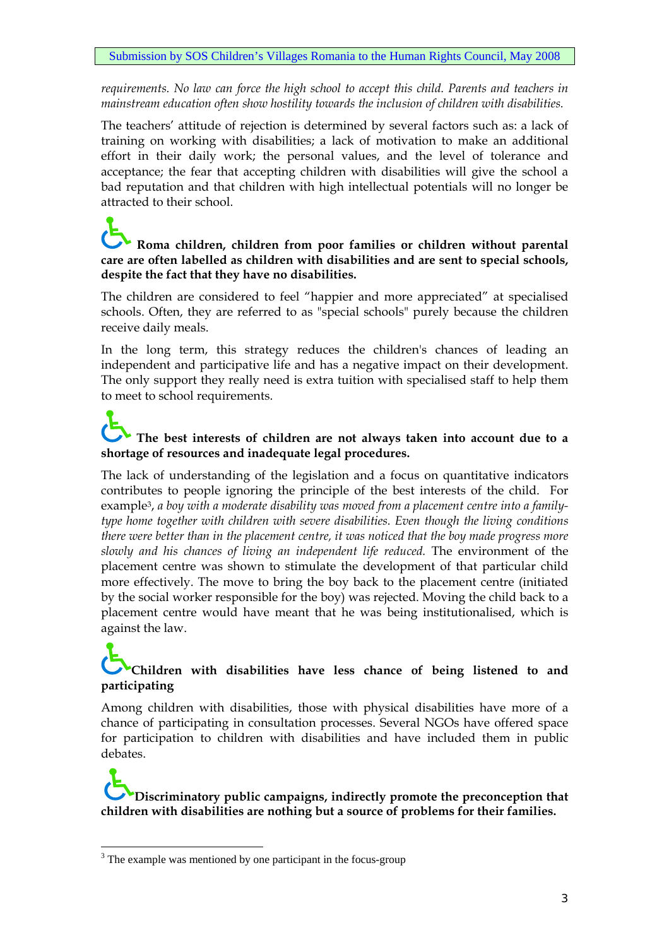*requirements. No law can force the high school to accept this child. Parents and teachers in mainstream education often show hostility towards the inclusion of children with disabilities.* 

The teachers' attitude of rejection is determined by several factors such as: a lack of training on working with disabilities; a lack of motivation to make an additional effort in their daily work; the personal values, and the level of tolerance and acceptance; the fear that accepting children with disabilities will give the school a bad reputation and that children with high intellectual potentials will no longer be attracted to their school.

### **Roma children, children from poor families or children without parental care are often labelled as children with disabilities and are sent to special schools, despite the fact that they have no disabilities.**

The children are considered to feel "happier and more appreciated" at specialised schools. Often, they are referred to as "special schools" purely because the children receive daily meals.

In the long term, this strategy reduces the children's chances of leading an independent and participative life and has a negative impact on their development. The only support they really need is extra tuition with specialised staff to help them to meet to school requirements.

### **The best interests of children are not always taken into account due to a shortage of resources and inadequate legal procedures.**

The lack of understanding of the legislation and a focus on quantitative indicators contributes to people ignoring the principle of the best interests of the child. For example3, *a boy with a moderate disability was moved from a placement centre into a familytype home together with children with severe disabilities. Even though the living conditions there were better than in the placement centre, it was noticed that the boy made progress more slowly and his chances of living an independent life reduced.* The environment of the placement centre was shown to stimulate the development of that particular child more effectively. The move to bring the boy back to the placement centre (initiated by the social worker responsible for the boy) was rejected. Moving the child back to a placement centre would have meant that he was being institutionalised, which is against the law.

### **Children with disabilities have less chance of being listened to and participating**

Among children with disabilities, those with physical disabilities have more of a chance of participating in consultation processes. Several NGOs have offered space for participation to children with disabilities and have included them in public debates.

# **Discriminatory public campaigns, indirectly promote the preconception that children with disabilities are nothing but a source of problems for their families.**

 $\overline{a}$ 

<sup>&</sup>lt;sup>3</sup> The example was mentioned by one participant in the focus-group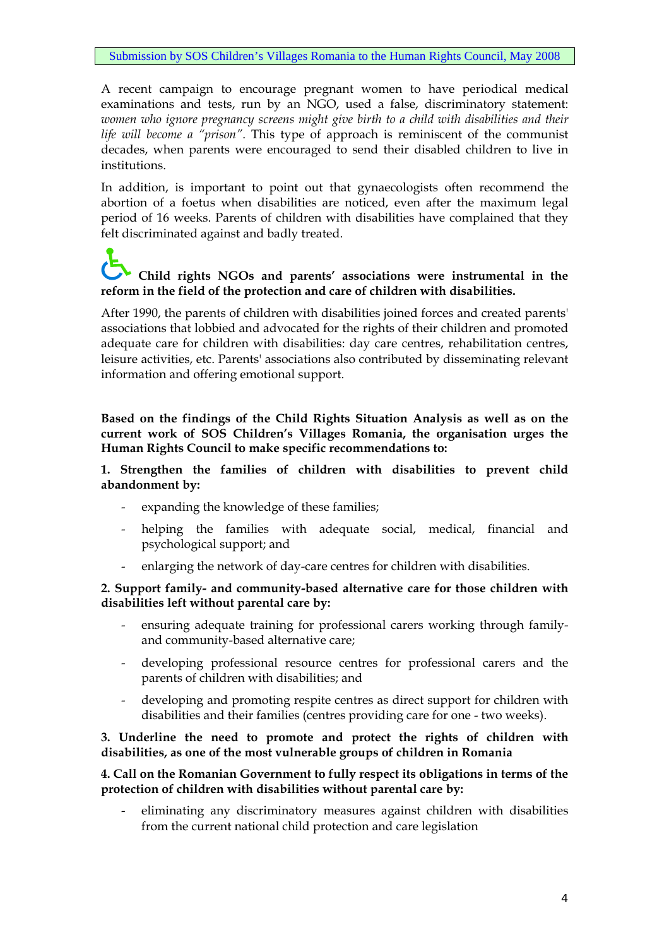A recent campaign to encourage pregnant women to have periodical medical examinations and tests, run by an NGO, used a false, discriminatory statement: *women who ignore pregnancy screens might give birth to a child with disabilities and their life will become a "prison"*. This type of approach is reminiscent of the communist decades, when parents were encouraged to send their disabled children to live in institutions.

In addition, is important to point out that gynaecologists often recommend the abortion of a foetus when disabilities are noticed, even after the maximum legal period of 16 weeks. Parents of children with disabilities have complained that they felt discriminated against and badly treated.

# **Child rights NGOs and parents' associations were instrumental in the reform in the field of the protection and care of children with disabilities.**

After 1990, the parents of children with disabilities joined forces and created parents' associations that lobbied and advocated for the rights of their children and promoted adequate care for children with disabilities: day care centres, rehabilitation centres, leisure activities, etc. Parents' associations also contributed by disseminating relevant information and offering emotional support.

**Based on the findings of the Child Rights Situation Analysis as well as on the current work of SOS Children's Villages Romania, the organisation urges the Human Rights Council to make specific recommendations to:** 

**1. Strengthen the families of children with disabilities to prevent child abandonment by:** 

- expanding the knowledge of these families;
- helping the families with adequate social, medical, financial and psychological support; and
- enlarging the network of day-care centres for children with disabilities.

**2. Support family- and community-based alternative care for those children with disabilities left without parental care by:** 

- ensuring adequate training for professional carers working through familyand community-based alternative care;
- developing professional resource centres for professional carers and the parents of children with disabilities; and
- developing and promoting respite centres as direct support for children with disabilities and their families (centres providing care for one - two weeks).

#### **3. Underline the need to promote and protect the rights of children with disabilities, as one of the most vulnerable groups of children in Romania**

#### **4. Call on the Romanian Government to fully respect its obligations in terms of the protection of children with disabilities without parental care by:**

- eliminating any discriminatory measures against children with disabilities from the current national child protection and care legislation